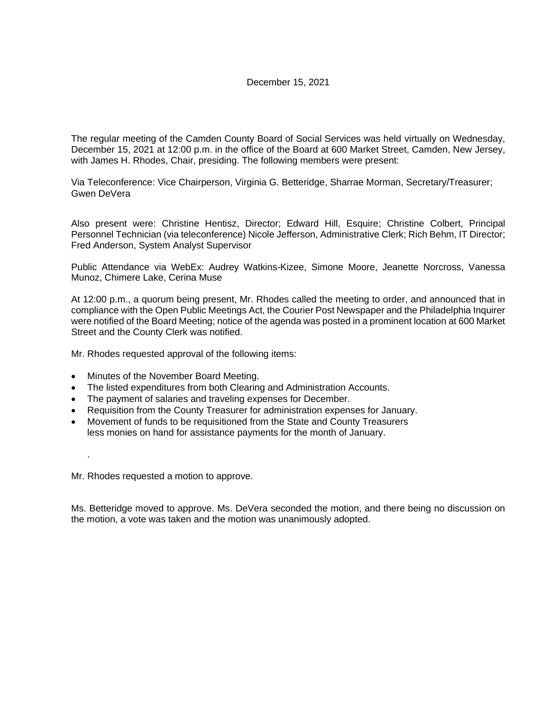The regular meeting of the Camden County Board of Social Services was held virtually on Wednesday, December 15, 2021 at 12:00 p.m. in the office of the Board at 600 Market Street, Camden, New Jersey, with James H. Rhodes, Chair, presiding. The following members were present:

Via Teleconference: Vice Chairperson, Virginia G. Betteridge, Sharrae Morman, Secretary/Treasurer; Gwen DeVera

Also present were: Christine Hentisz, Director; Edward Hill, Esquire; Christine Colbert, Principal Personnel Technician (via teleconference) Nicole Jefferson, Administrative Clerk; Rich Behm, IT Director; Fred Anderson, System Analyst Supervisor

Public Attendance via WebEx: Audrey Watkins-Kizee, Simone Moore, Jeanette Norcross, Vanessa Munoz, Chimere Lake, Cerina Muse

At 12:00 p.m., a quorum being present, Mr. Rhodes called the meeting to order, and announced that in compliance with the Open Public Meetings Act, the Courier Post Newspaper and the Philadelphia Inquirer were notified of the Board Meeting; notice of the agenda was posted in a prominent location at 600 Market Street and the County Clerk was notified.

Mr. Rhodes requested approval of the following items:

- Minutes of the November Board Meeting.
- The listed expenditures from both Clearing and Administration Accounts.
- The payment of salaries and traveling expenses for December.
- Requisition from the County Treasurer for administration expenses for January.
- Movement of funds to be requisitioned from the State and County Treasurers less monies on hand for assistance payments for the month of January.

.

Mr. Rhodes requested a motion to approve.

Ms. Betteridge moved to approve. Ms. DeVera seconded the motion, and there being no discussion on the motion, a vote was taken and the motion was unanimously adopted.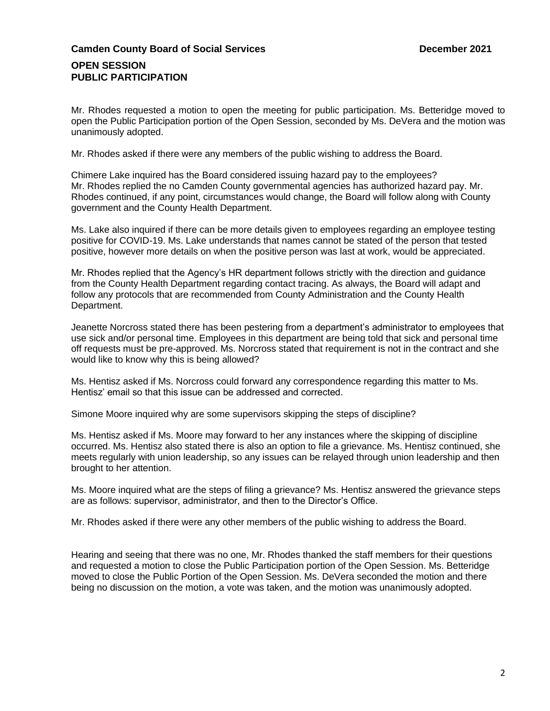# **Camden County Board of Social Services December 2021**

## **OPEN SESSION PUBLIC PARTICIPATION**

Mr. Rhodes requested a motion to open the meeting for public participation. Ms. Betteridge moved to open the Public Participation portion of the Open Session, seconded by Ms. DeVera and the motion was unanimously adopted.

Mr. Rhodes asked if there were any members of the public wishing to address the Board.

Chimere Lake inquired has the Board considered issuing hazard pay to the employees? Mr. Rhodes replied the no Camden County governmental agencies has authorized hazard pay. Mr. Rhodes continued, if any point, circumstances would change, the Board will follow along with County government and the County Health Department.

Ms. Lake also inquired if there can be more details given to employees regarding an employee testing positive for COVID-19. Ms. Lake understands that names cannot be stated of the person that tested positive, however more details on when the positive person was last at work, would be appreciated.

Mr. Rhodes replied that the Agency's HR department follows strictly with the direction and guidance from the County Health Department regarding contact tracing. As always, the Board will adapt and follow any protocols that are recommended from County Administration and the County Health Department.

Jeanette Norcross stated there has been pestering from a department's administrator to employees that use sick and/or personal time. Employees in this department are being told that sick and personal time off requests must be pre-approved. Ms. Norcross stated that requirement is not in the contract and she would like to know why this is being allowed?

Ms. Hentisz asked if Ms. Norcross could forward any correspondence regarding this matter to Ms. Hentisz' email so that this issue can be addressed and corrected.

Simone Moore inquired why are some supervisors skipping the steps of discipline?

Ms. Hentisz asked if Ms. Moore may forward to her any instances where the skipping of discipline occurred. Ms. Hentisz also stated there is also an option to file a grievance. Ms. Hentisz continued, she meets regularly with union leadership, so any issues can be relayed through union leadership and then brought to her attention.

Ms. Moore inquired what are the steps of filing a grievance? Ms. Hentisz answered the grievance steps are as follows: supervisor, administrator, and then to the Director's Office.

Mr. Rhodes asked if there were any other members of the public wishing to address the Board.

Hearing and seeing that there was no one, Mr. Rhodes thanked the staff members for their questions and requested a motion to close the Public Participation portion of the Open Session. Ms. Betteridge moved to close the Public Portion of the Open Session. Ms. DeVera seconded the motion and there being no discussion on the motion, a vote was taken, and the motion was unanimously adopted.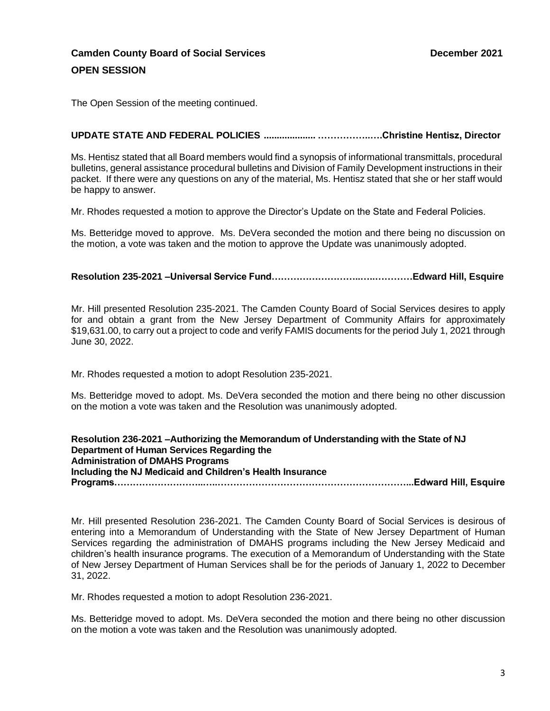# **Camden County Board of Social Services December 2021 OPEN SESSION**

The Open Session of the meeting continued.

## **UPDATE STATE AND FEDERAL POLICIES .................... ……………..….Christine Hentisz, Director**

Ms. Hentisz stated that all Board members would find a synopsis of informational transmittals, procedural bulletins, general assistance procedural bulletins and Division of Family Development instructions in their packet. If there were any questions on any of the material, Ms. Hentisz stated that she or her staff would be happy to answer.

Mr. Rhodes requested a motion to approve the Director's Update on the State and Federal Policies.

Ms. Betteridge moved to approve. Ms. DeVera seconded the motion and there being no discussion on the motion, a vote was taken and the motion to approve the Update was unanimously adopted.

**Resolution 235-2021 –Universal Service Fund………………………..…..…………Edward Hill, Esquire** 

Mr. Hill presented Resolution 235-2021. The Camden County Board of Social Services desires to apply for and obtain a grant from the New Jersey Department of Community Affairs for approximately \$19,631.00, to carry out a project to code and verify FAMIS documents for the period July 1, 2021 through June 30, 2022.

Mr. Rhodes requested a motion to adopt Resolution 235-2021.

Ms. Betteridge moved to adopt. Ms. DeVera seconded the motion and there being no other discussion on the motion a vote was taken and the Resolution was unanimously adopted.

**Resolution 236-2021 –Authorizing the Memorandum of Understanding with the State of NJ Department of Human Services Regarding the Administration of DMAHS Programs Including the NJ Medicaid and Children's Health Insurance Programs………………………..…..……………………………………………………...Edward Hill, Esquire** 

Mr. Hill presented Resolution 236-2021. The Camden County Board of Social Services is desirous of entering into a Memorandum of Understanding with the State of New Jersey Department of Human Services regarding the administration of DMAHS programs including the New Jersey Medicaid and children's health insurance programs. The execution of a Memorandum of Understanding with the State of New Jersey Department of Human Services shall be for the periods of January 1, 2022 to December 31, 2022.

Mr. Rhodes requested a motion to adopt Resolution 236-2021.

Ms. Betteridge moved to adopt. Ms. DeVera seconded the motion and there being no other discussion on the motion a vote was taken and the Resolution was unanimously adopted.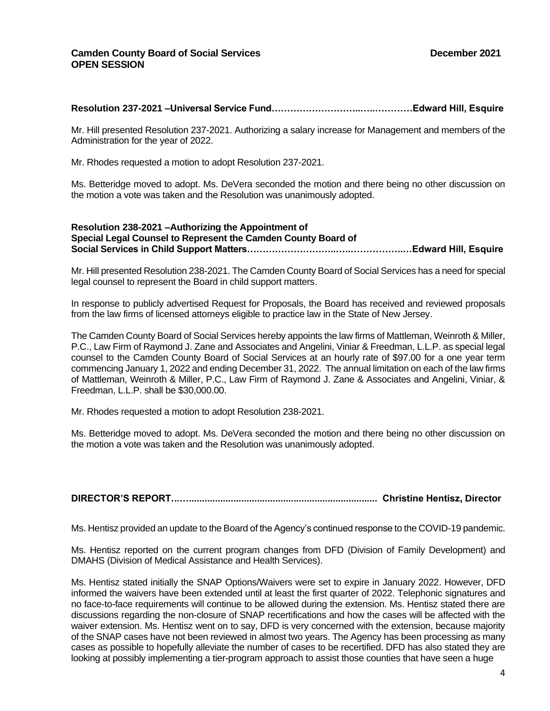#### **Resolution 237-2021 –Universal Service Fund………………………..…..…………Edward Hill, Esquire**

Mr. Hill presented Resolution 237-2021. Authorizing a salary increase for Management and members of the Administration for the year of 2022.

Mr. Rhodes requested a motion to adopt Resolution 237-2021.

Ms. Betteridge moved to adopt. Ms. DeVera seconded the motion and there being no other discussion on the motion a vote was taken and the Resolution was unanimously adopted.

#### **Resolution 238-2021 –Authorizing the Appointment of Special Legal Counsel to Represent the Camden County Board of Social Services in Child Support Matters………………………..…..……………..…Edward Hill, Esquire**

Mr. Hill presented Resolution 238-2021. The Camden County Board of Social Services has a need for special legal counsel to represent the Board in child support matters.

In response to publicly advertised Request for Proposals, the Board has received and reviewed proposals from the law firms of licensed attorneys eligible to practice law in the State of New Jersey.

The Camden County Board of Social Services hereby appoints the law firms of Mattleman, Weinroth & Miller, P.C., Law Firm of Raymond J. Zane and Associates and Angelini, Viniar & Freedman, L.L.P. as special legal counsel to the Camden County Board of Social Services at an hourly rate of \$97.00 for a one year term commencing January 1, 2022 and ending December 31, 2022. The annual limitation on each of the law firms of Mattleman, Weinroth & Miller, P.C., Law Firm of Raymond J. Zane & Associates and Angelini, Viniar, & Freedman, L.L.P. shall be \$30,000.00.

Mr. Rhodes requested a motion to adopt Resolution 238-2021.

Ms. Betteridge moved to adopt. Ms. DeVera seconded the motion and there being no other discussion on the motion a vote was taken and the Resolution was unanimously adopted.

**DIRECTOR'S REPORT...…........................................................................ Christine Hentisz, Director**

Ms. Hentisz provided an update to the Board of the Agency's continued response to the COVID-19 pandemic.

Ms. Hentisz reported on the current program changes from DFD (Division of Family Development) and DMAHS (Division of Medical Assistance and Health Services).

Ms. Hentisz stated initially the SNAP Options/Waivers were set to expire in January 2022. However, DFD informed the waivers have been extended until at least the first quarter of 2022. Telephonic signatures and no face-to-face requirements will continue to be allowed during the extension. Ms. Hentisz stated there are discussions regarding the non-closure of SNAP recertifications and how the cases will be affected with the waiver extension. Ms. Hentisz went on to say, DFD is very concerned with the extension, because majority of the SNAP cases have not been reviewed in almost two years. The Agency has been processing as many cases as possible to hopefully alleviate the number of cases to be recertified. DFD has also stated they are looking at possibly implementing a tier-program approach to assist those counties that have seen a huge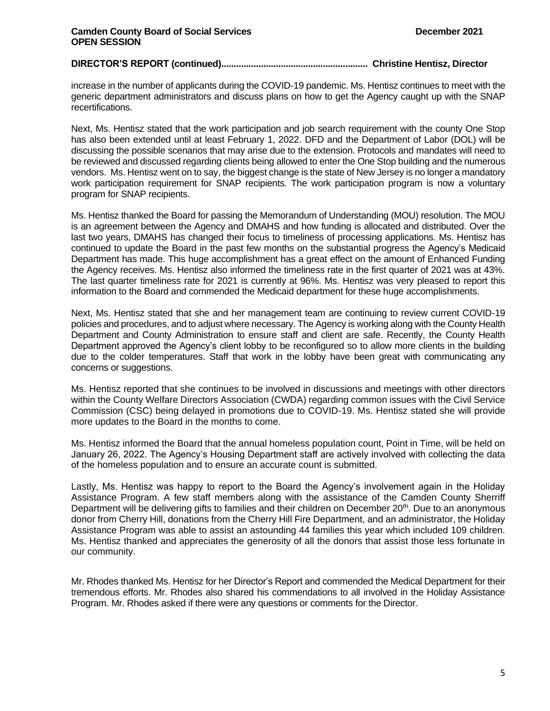#### **DIRECTOR'S REPORT (continued)........................................................... Christine Hentisz, Director**

increase in the number of applicants during the COVID-19 pandemic. Ms. Hentisz continues to meet with the generic department administrators and discuss plans on how to get the Agency caught up with the SNAP recertifications.

Next, Ms. Hentisz stated that the work participation and job search requirement with the county One Stop has also been extended until at least February 1, 2022. DFD and the Department of Labor (DOL) will be discussing the possible scenarios that may arise due to the extension. Protocols and mandates will need to be reviewed and discussed regarding clients being allowed to enter the One Stop building and the numerous vendors. Ms. Hentisz went on to say, the biggest change is the state of New Jersey is no longer a mandatory work participation requirement for SNAP recipients. The work participation program is now a voluntary program for SNAP recipients.

Ms. Hentisz thanked the Board for passing the Memorandum of Understanding (MOU) resolution. The MOU is an agreement between the Agency and DMAHS and how funding is allocated and distributed. Over the last two years, DMAHS has changed their focus to timeliness of processing applications. Ms. Hentisz has continued to update the Board in the past few months on the substantial progress the Agency's Medicaid Department has made. This huge accomplishment has a great effect on the amount of Enhanced Funding the Agency receives. Ms. Hentisz also informed the timeliness rate in the first quarter of 2021 was at 43%. The last quarter timeliness rate for 2021 is currently at 96%. Ms. Hentisz was very pleased to report this information to the Board and commended the Medicaid department for these huge accomplishments.

Next, Ms. Hentisz stated that she and her management team are continuing to review current COVID-19 policies and procedures, and to adjust where necessary. The Agency is working along with the County Health Department and County Administration to ensure staff and client are safe. Recently, the County Health Department approved the Agency's client lobby to be reconfigured so to allow more clients in the building due to the colder temperatures. Staff that work in the lobby have been great with communicating any concerns or suggestions.

Ms. Hentisz reported that she continues to be involved in discussions and meetings with other directors within the County Welfare Directors Association (CWDA) regarding common issues with the Civil Service Commission (CSC) being delayed in promotions due to COVID-19. Ms. Hentisz stated she will provide more updates to the Board in the months to come.

Ms. Hentisz informed the Board that the annual homeless population count, Point in Time, will be held on January 26, 2022. The Agency's Housing Department staff are actively involved with collecting the data of the homeless population and to ensure an accurate count is submitted.

Lastly, Ms. Hentisz was happy to report to the Board the Agency's involvement again in the Holiday Assistance Program. A few staff members along with the assistance of the Camden County Sherriff Department will be delivering gifts to families and their children on December 20<sup>th</sup>. Due to an anonymous donor from Cherry Hill, donations from the Cherry Hill Fire Department, and an administrator, the Holiday Assistance Program was able to assist an astounding 44 families this year which included 109 children. Ms. Hentisz thanked and appreciates the generosity of all the donors that assist those less fortunate in our community.

Mr. Rhodes thanked Ms. Hentisz for her Director's Report and commended the Medical Department for their tremendous efforts. Mr. Rhodes also shared his commendations to all involved in the Holiday Assistance Program. Mr. Rhodes asked if there were any questions or comments for the Director.